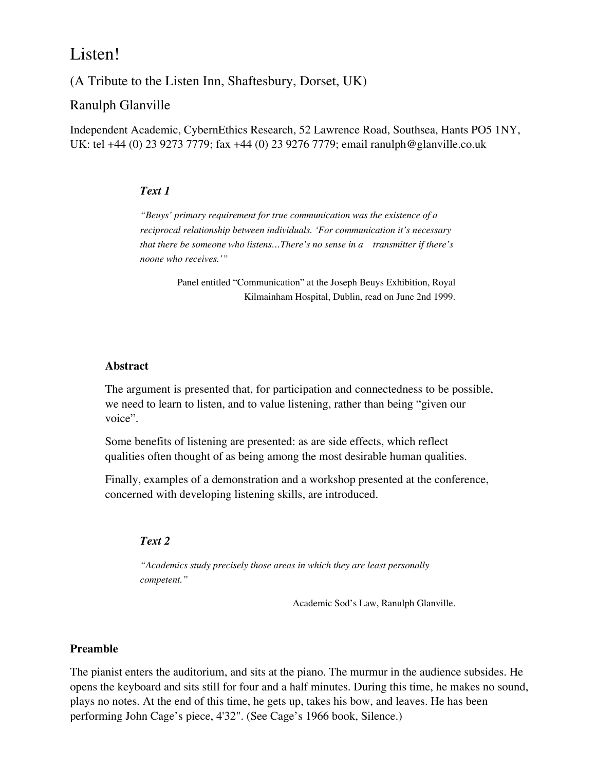# Listen!

(A Tribute to the Listen Inn, Shaftesbury, Dorset, UK)

## Ranulph Glanville

Independent Academic, CybernEthics Research, 52 Lawrence Road, Southsea, Hants PO5 1NY, UK: tel +44 (0) 23 9273 7779; fax +44 (0) 23 9276 7779; email ranulph@glanville.co.uk

#### *Text 1*

*"Beuys' primary requirement for true communication was the existence of a reciprocal relationship between individuals. 'For communication it's necessary that there be someone who listens…There's no sense in a transmitter if there's noone who receives.'"*

> Panel entitled "Communication" at the Joseph Beuys Exhibition, Royal Kilmainham Hospital, Dublin, read on June 2nd 1999.

#### **Abstract**

The argument is presented that, for participation and connectedness to be possible, we need to learn to listen, and to value listening, rather than being "given our voice".

Some benefits of listening are presented: as are side effects, which reflect qualities often thought of as being among the most desirable human qualities.

Finally, examples of a demonstration and a workshop presented at the conference, concerned with developing listening skills, are introduced.

#### *Text 2*

*"Academics study precisely those areas in which they are least personally competent."*

Academic Sod's Law, Ranulph Glanville.

#### **Preamble**

The pianist enters the auditorium, and sits at the piano. The murmur in the audience subsides. He opens the keyboard and sits still for four and a half minutes. During this time, he makes no sound, plays no notes. At the end of this time, he gets up, takes his bow, and leaves. He has been performing John Cage's piece, 4'32". (See Cage's 1966 book, Silence.)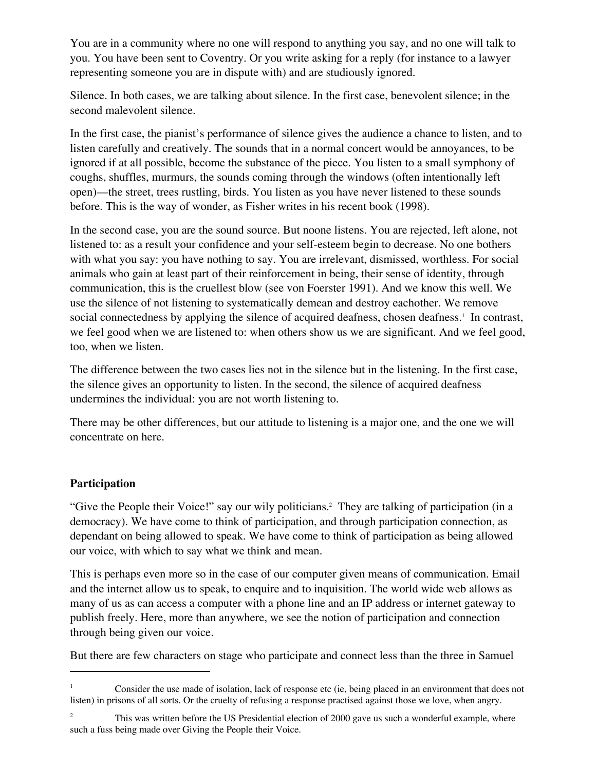You are in a community where no one will respond to anything you say, and no one will talk to you. You have been sent to Coventry. Or you write asking for a reply (for instance to a lawyer representing someone you are in dispute with) and are studiously ignored.

Silence. In both cases, we are talking about silence. In the first case, benevolent silence; in the second malevolent silence.

In the first case, the pianist's performance of silence gives the audience a chance to listen, and to listen carefully and creatively. The sounds that in a normal concert would be annoyances, to be ignored if at all possible, become the substance of the piece. You listen to a small symphony of coughs, shuffles, murmurs, the sounds coming through the windows (often intentionally left open)—the street, trees rustling, birds. You listen as you have never listened to these sounds before. This is the way of wonder, as Fisher writes in his recent book (1998).

In the second case, you are the sound source. But noone listens. You are rejected, left alone, not listened to: as a result your confidence and your self-esteem begin to decrease. No one bothers with what you say: you have nothing to say. You are irrelevant, dismissed, worthless. For social animals who gain at least part of their reinforcement in being, their sense of identity, through communication, this is the cruellest blow (see von Foerster 1991). And we know this well. We use the silence of not listening to systematically demean and destroy eachother. We remove social connectedness by applying the silence of acquired deafness, chosen deafness.<sup>1</sup> In contrast, we feel good when we are listened to: when others show us we are significant. And we feel good, too, when we listen.

The difference between the two cases lies not in the silence but in the listening. In the first case, the silence gives an opportunity to listen. In the second, the silence of acquired deafness undermines the individual: you are not worth listening to.

There may be other differences, but our attitude to listening is a major one, and the one we will concentrate on here.

## **Participation**

"Give the People their Voice!" say our wily politicians.<sup>2</sup> They are talking of participation (in a democracy). We have come to think of participation, and through participation connection, as dependant on being allowed to speak. We have come to think of participation as being allowed our voice, with which to say what we think and mean.

This is perhaps even more so in the case of our computer given means of communication. Email and the internet allow us to speak, to enquire and to inquisition. The world wide web allows as many of us as can access a computer with a phone line and an IP address or internet gateway to publish freely. Here, more than anywhere, we see the notion of participation and connection through being given our voice.

But there are few characters on stage who participate and connect less than the three in Samuel

<sup>1</sup> Consider the use made of isolation, lack of response etc (ie, being placed in an environment that does not listen) in prisons of all sorts. Or the cruelty of refusing a response practised against those we love, when angry.

<sup>2</sup> This was written before the US Presidential election of 2000 gave us such a wonderful example, where such a fuss being made over Giving the People their Voice.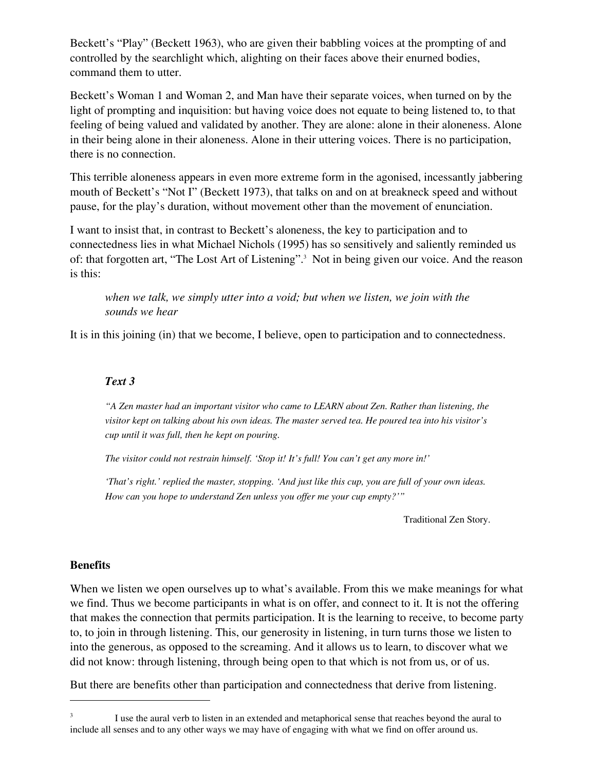Beckett's "Play" (Beckett 1963), who are given their babbling voices at the prompting of and controlled by the searchlight which, alighting on their faces above their enurned bodies, command them to utter.

Beckett's Woman 1 and Woman 2, and Man have their separate voices, when turned on by the light of prompting and inquisition: but having voice does not equate to being listened to, to that feeling of being valued and validated by another. They are alone: alone in their aloneness. Alone in their being alone in their aloneness. Alone in their uttering voices. There is no participation, there is no connection.

This terrible aloneness appears in even more extreme form in the agonised, incessantly jabbering mouth of Beckett's "Not I" (Beckett 1973), that talks on and on at breakneck speed and without pause, for the play's duration, without movement other than the movement of enunciation.

I want to insist that, in contrast to Beckett's aloneness, the key to participation and to connectedness lies in what Michael Nichols (1995) has so sensitively and saliently reminded us of: that forgotten art, "The Lost Art of Listening".<sup>3</sup> Not in being given our voice. And the reason is this:

## *when we talk, we simply utter into a void; but when we listen, we join with the sounds we hear*

It is in this joining (in) that we become, I believe, open to participation and to connectedness.

#### *Text 3*

*"A Zen master had an important visitor who came to LEARN about Zen. Rather than listening, the visitor kept on talking about his own ideas. The master served tea. He poured tea into his visitor's cup until it was full, then he kept on pouring.* 

*The visitor could not restrain himself. 'Stop it! It's full! You can't get any more in!'* 

*'That's right.' replied the master, stopping. 'And just like this cup, you are full of your own ideas. How can you hope to understand Zen unless you offer me your cup empty?'"* 

Traditional Zen Story.

#### **Benefits**

When we listen we open ourselves up to what's available. From this we make meanings for what we find. Thus we become participants in what is on offer, and connect to it. It is not the offering that makes the connection that permits participation. It is the learning to receive, to become party to, to join in through listening. This, our generosity in listening, in turn turns those we listen to into the generous, as opposed to the screaming. And it allows us to learn, to discover what we did not know: through listening, through being open to that which is not from us, or of us.

But there are benefits other than participation and connectedness that derive from listening.

<sup>3</sup> I use the aural verb to listen in an extended and metaphorical sense that reaches beyond the aural to include all senses and to any other ways we may have of engaging with what we find on offer around us.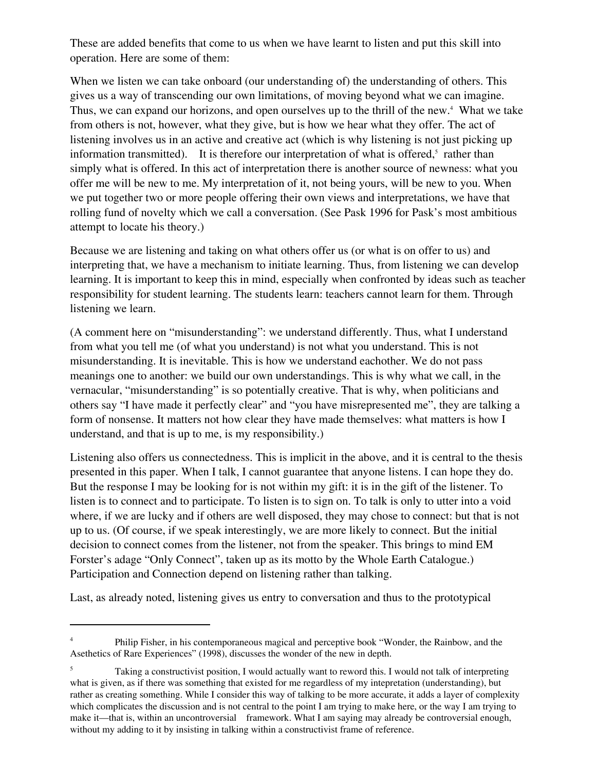These are added benefits that come to us when we have learnt to listen and put this skill into operation. Here are some of them:

When we listen we can take onboard (our understanding of) the understanding of others. This gives us a way of transcending our own limitations, of moving beyond what we can imagine. Thus, we can expand our horizons, and open ourselves up to the thrill of the new.<sup>4</sup> What we take from others is not, however, what they give, but is how we hear what they offer. The act of listening involves us in an active and creative act (which is why listening is not just picking up information transmitted). It is therefore our interpretation of what is offered, $5$  rather than simply what is offered. In this act of interpretation there is another source of newness: what you offer me will be new to me. My interpretation of it, not being yours, will be new to you. When we put together two or more people offering their own views and interpretations, we have that rolling fund of novelty which we call a conversation. (See Pask 1996 for Pask's most ambitious attempt to locate his theory.)

Because we are listening and taking on what others offer us (or what is on offer to us) and interpreting that, we have a mechanism to initiate learning. Thus, from listening we can develop learning. It is important to keep this in mind, especially when confronted by ideas such as teacher responsibility for student learning. The students learn: teachers cannot learn for them. Through listening we learn.

(A comment here on "misunderstanding": we understand differently. Thus, what I understand from what you tell me (of what you understand) is not what you understand. This is not misunderstanding. It is inevitable. This is how we understand eachother. We do not pass meanings one to another: we build our own understandings. This is why what we call, in the vernacular, "misunderstanding" is so potentially creative. That is why, when politicians and others say "I have made it perfectly clear" and "you have misrepresented me", they are talking a form of nonsense. It matters not how clear they have made themselves: what matters is how I understand, and that is up to me, is my responsibility.)

Listening also offers us connectedness. This is implicit in the above, and it is central to the thesis presented in this paper. When I talk, I cannot guarantee that anyone listens. I can hope they do. But the response I may be looking for is not within my gift: it is in the gift of the listener. To listen is to connect and to participate. To listen is to sign on. To talk is only to utter into a void where, if we are lucky and if others are well disposed, they may chose to connect: but that is not up to us. (Of course, if we speak interestingly, we are more likely to connect. But the initial decision to connect comes from the listener, not from the speaker. This brings to mind EM Forster's adage "Only Connect", taken up as its motto by the Whole Earth Catalogue.) Participation and Connection depend on listening rather than talking.

Last, as already noted, listening gives us entry to conversation and thus to the prototypical

<sup>4</sup> Philip Fisher, in his contemporaneous magical and perceptive book "Wonder, the Rainbow, and the Asethetics of Rare Experiences" (1998), discusses the wonder of the new in depth.

<sup>5</sup> Taking a constructivist position, I would actually want to reword this. I would not talk of interpreting what is given, as if there was something that existed for me regardless of my intepretation (understanding), but rather as creating something. While I consider this way of talking to be more accurate, it adds a layer of complexity which complicates the discussion and is not central to the point I am trying to make here, or the way I am trying to make it—that is, within an uncontroversial framework. What I am saying may already be controversial enough, without my adding to it by insisting in talking within a constructivist frame of reference.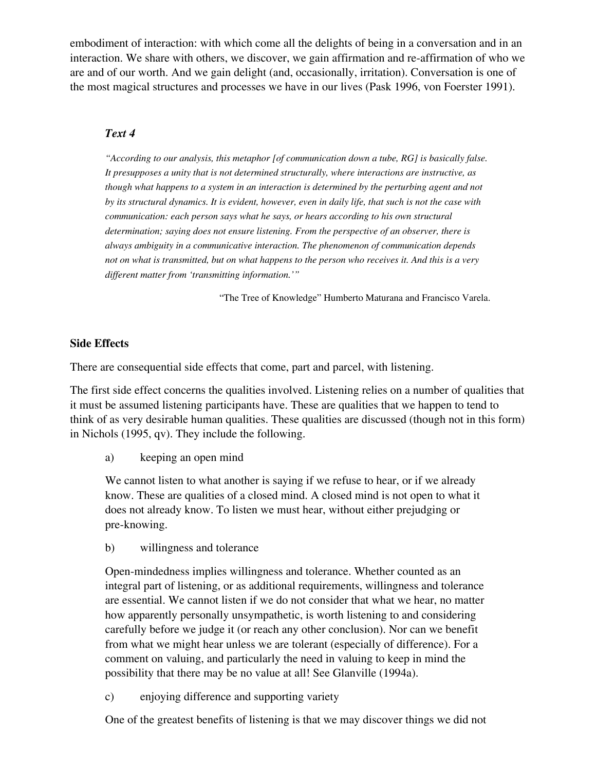embodiment of interaction: with which come all the delights of being in a conversation and in an interaction. We share with others, we discover, we gain affirmation and re-affirmation of who we are and of our worth. And we gain delight (and, occasionally, irritation). Conversation is one of the most magical structures and processes we have in our lives (Pask 1996, von Foerster 1991).

## *Text 4*

*"According to our analysis, this metaphor [of communication down a tube, RG] is basically false. It presupposes a unity that is not determined structurally, where interactions are instructive, as though what happens to a system in an interaction is determined by the perturbing agent and not by its structural dynamics. It is evident, however, even in daily life, that such is not the case with communication: each person says what he says, or hears according to his own structural determination; saying does not ensure listening. From the perspective of an observer, there is always ambiguity in a communicative interaction. The phenomenon of communication depends not on what is transmitted, but on what happens to the person who receives it. And this is a very different matter from 'transmitting information.'"* 

"The Tree of Knowledge" Humberto Maturana and Francisco Varela.

### **Side Effects**

There are consequential side effects that come, part and parcel, with listening.

The first side effect concerns the qualities involved. Listening relies on a number of qualities that it must be assumed listening participants have. These are qualities that we happen to tend to think of as very desirable human qualities. These qualities are discussed (though not in this form) in Nichols (1995, qv). They include the following.

a) keeping an open mind

We cannot listen to what another is saying if we refuse to hear, or if we already know. These are qualities of a closed mind. A closed mind is not open to what it does not already know. To listen we must hear, without either prejudging or pre-knowing.

b) willingness and tolerance

Open-mindedness implies willingness and tolerance. Whether counted as an integral part of listening, or as additional requirements, willingness and tolerance are essential. We cannot listen if we do not consider that what we hear, no matter how apparently personally unsympathetic, is worth listening to and considering carefully before we judge it (or reach any other conclusion). Nor can we benefit from what we might hear unless we are tolerant (especially of difference). For a comment on valuing, and particularly the need in valuing to keep in mind the possibility that there may be no value at all! See Glanville (1994a).

c) enjoying difference and supporting variety

One of the greatest benefits of listening is that we may discover things we did not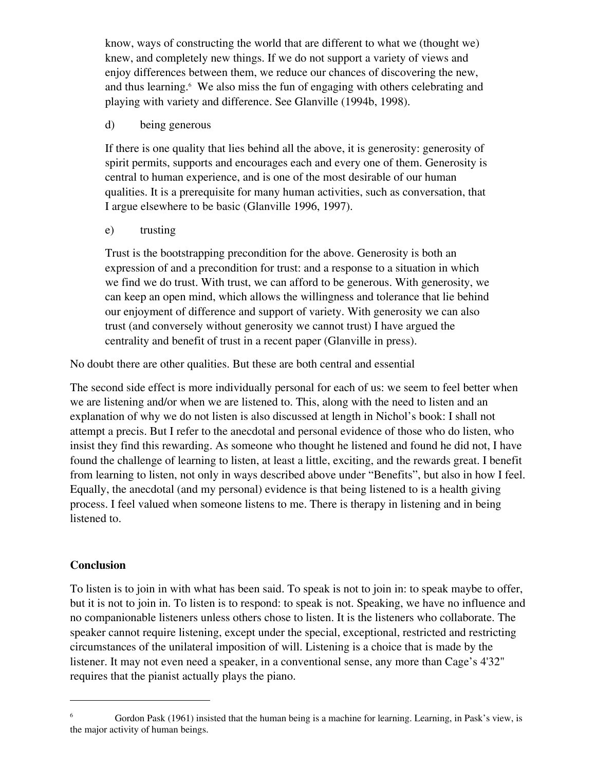know, ways of constructing the world that are different to what we (thought we) knew, and completely new things. If we do not support a variety of views and enjoy differences between them, we reduce our chances of discovering the new, and thus learning.<sup>6</sup> We also miss the fun of engaging with others celebrating and playing with variety and difference. See Glanville (1994b, 1998).

d) being generous

If there is one quality that lies behind all the above, it is generosity: generosity of spirit permits, supports and encourages each and every one of them. Generosity is central to human experience, and is one of the most desirable of our human qualities. It is a prerequisite for many human activities, such as conversation, that I argue elsewhere to be basic (Glanville 1996, 1997).

e) trusting

Trust is the bootstrapping precondition for the above. Generosity is both an expression of and a precondition for trust: and a response to a situation in which we find we do trust. With trust, we can afford to be generous. With generosity, we can keep an open mind, which allows the willingness and tolerance that lie behind our enjoyment of difference and support of variety. With generosity we can also trust (and conversely without generosity we cannot trust) I have argued the centrality and benefit of trust in a recent paper (Glanville in press).

No doubt there are other qualities. But these are both central and essential

The second side effect is more individually personal for each of us: we seem to feel better when we are listening and/or when we are listened to. This, along with the need to listen and an explanation of why we do not listen is also discussed at length in Nichol's book: I shall not attempt a precis. But I refer to the anecdotal and personal evidence of those who do listen, who insist they find this rewarding. As someone who thought he listened and found he did not, I have found the challenge of learning to listen, at least a little, exciting, and the rewards great. I benefit from learning to listen, not only in ways described above under "Benefits", but also in how I feel. Equally, the anecdotal (and my personal) evidence is that being listened to is a health giving process. I feel valued when someone listens to me. There is therapy in listening and in being listened to.

## **Conclusion**

To listen is to join in with what has been said. To speak is not to join in: to speak maybe to offer, but it is not to join in. To listen is to respond: to speak is not. Speaking, we have no influence and no companionable listeners unless others chose to listen. It is the listeners who collaborate. The speaker cannot require listening, except under the special, exceptional, restricted and restricting circumstances of the unilateral imposition of will. Listening is a choice that is made by the listener. It may not even need a speaker, in a conventional sense, any more than Cage's 4'32" requires that the pianist actually plays the piano.

<sup>6</sup> Gordon Pask (1961) insisted that the human being is a machine for learning. Learning, in Pask's view, is the major activity of human beings.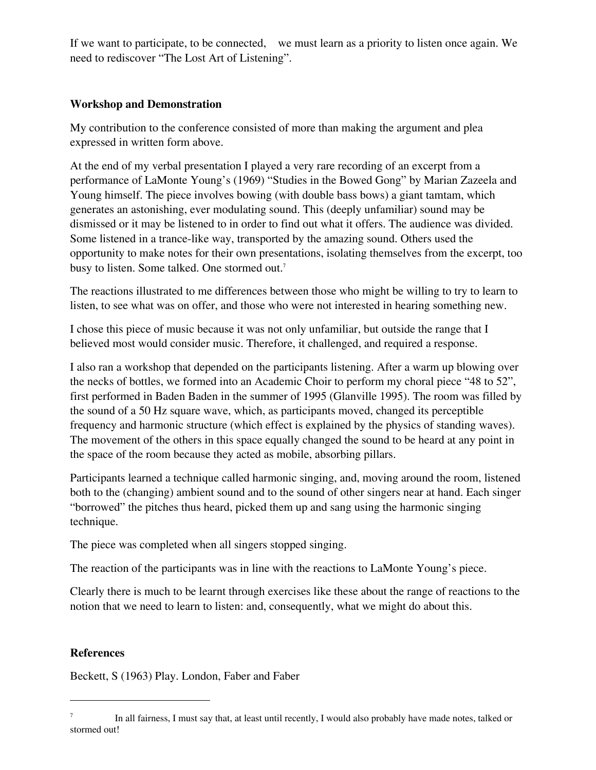If we want to participate, to be connected, we must learn as a priority to listen once again. We need to rediscover "The Lost Art of Listening".

## **Workshop and Demonstration**

My contribution to the conference consisted of more than making the argument and plea expressed in written form above.

At the end of my verbal presentation I played a very rare recording of an excerpt from a performance of LaMonte Young's (1969) "Studies in the Bowed Gong" by Marian Zazeela and Young himself. The piece involves bowing (with double bass bows) a giant tamtam, which generates an astonishing, ever modulating sound. This (deeply unfamiliar) sound may be dismissed or it may be listened to in order to find out what it offers. The audience was divided. Some listened in a trance-like way, transported by the amazing sound. Others used the opportunity to make notes for their own presentations, isolating themselves from the excerpt, too busy to listen. Some talked. One stormed out.7

The reactions illustrated to me differences between those who might be willing to try to learn to listen, to see what was on offer, and those who were not interested in hearing something new.

I chose this piece of music because it was not only unfamiliar, but outside the range that I believed most would consider music. Therefore, it challenged, and required a response.

I also ran a workshop that depended on the participants listening. After a warm up blowing over the necks of bottles, we formed into an Academic Choir to perform my choral piece "48 to 52", first performed in Baden Baden in the summer of 1995 (Glanville 1995). The room was filled by the sound of a 50 Hz square wave, which, as participants moved, changed its perceptible frequency and harmonic structure (which effect is explained by the physics of standing waves). The movement of the others in this space equally changed the sound to be heard at any point in the space of the room because they acted as mobile, absorbing pillars.

Participants learned a technique called harmonic singing, and, moving around the room, listened both to the (changing) ambient sound and to the sound of other singers near at hand. Each singer "borrowed" the pitches thus heard, picked them up and sang using the harmonic singing technique.

The piece was completed when all singers stopped singing.

The reaction of the participants was in line with the reactions to LaMonte Young's piece.

Clearly there is much to be learnt through exercises like these about the range of reactions to the notion that we need to learn to listen: and, consequently, what we might do about this.

## **References**

Beckett, S (1963) Play. London, Faber and Faber

<sup>7</sup> In all fairness, I must say that, at least until recently, I would also probably have made notes, talked or stormed out!